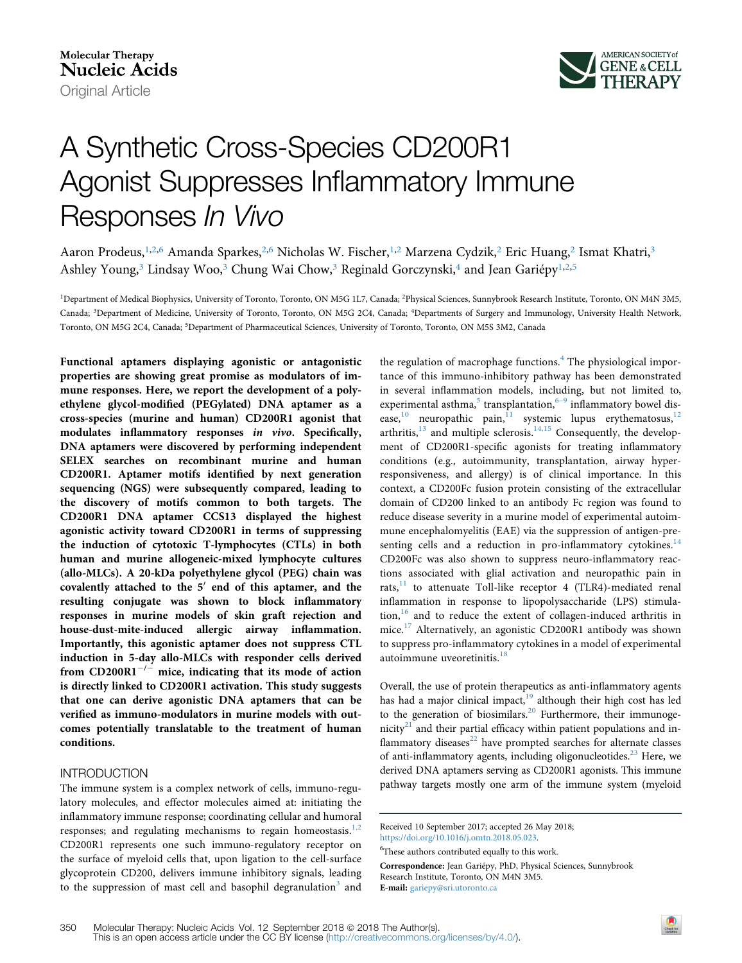

# A Synthetic Cross-Species CD200R1 Agonist Suppresses Inflammatory Immune Responses In Vivo

Aaron Prodeus,<sup>[1,2](#page-0-0),6</sup> Amanda Sparkes,<sup>[2,](#page-0-0)6</sup> Nicholas W. Fischer,<sup>1,[2](#page-0-0)</sup> Marzena Cydzik,<sup>2</sup> Eric Huang,<sup>2</sup> Ismat Khatri,<sup>[3](#page-0-1)</sup> Ashley Young,<sup>[3](#page-0-1)</sup> Lindsay Woo,<sup>3</sup> Chung Wai Chow,<sup>3</sup> Reginald Gorczynski,<sup>[4](#page-0-1)</sup> and Jean Gariépy<sup>[1,2](#page-0-0)[,5](#page-0-2)</sup>

<span id="page-0-2"></span><span id="page-0-1"></span><span id="page-0-0"></span>1Department of Medical Biophysics, University of Toronto, Toronto, ON M5G 1L7, Canada; 2Physical Sciences, Sunnybrook Research Institute, Toronto, ON M4N 3M5, Canada; 3Department of Medicine, University of Toronto, Toronto, ON M5G 2C4, Canada; 4Departments of Surgery and Immunology, University Health Network, Toronto, ON M5G 2C4, Canada; 5Department of Pharmaceutical Sciences, University of Toronto, Toronto, ON M5S 3M2, Canada

Functional aptamers displaying agonistic or antagonistic properties are showing great promise as modulators of immune responses. Here, we report the development of a polyethylene glycol-modified (PEGylated) DNA aptamer as a cross-species (murine and human) CD200R1 agonist that modulates inflammatory responses in vivo. Specifically, DNA aptamers were discovered by performing independent SELEX searches on recombinant murine and human CD200R1. Aptamer motifs identified by next generation sequencing (NGS) were subsequently compared, leading to the discovery of motifs common to both targets. The CD200R1 DNA aptamer CCS13 displayed the highest agonistic activity toward CD200R1 in terms of suppressing the induction of cytotoxic T-lymphocytes (CTLs) in both human and murine allogeneic-mixed lymphocyte cultures (allo-MLCs). A 20-kDa polyethylene glycol (PEG) chain was covalently attached to the  $5'$  end of this aptamer, and the resulting conjugate was shown to block inflammatory responses in murine models of skin graft rejection and house-dust-mite-induced allergic airway inflammation. Importantly, this agonistic aptamer does not suppress CTL induction in 5-day allo-MLCs with responder cells derived from CD200R1<sup>-/-</sup> mice, indicating that its mode of action is directly linked to CD200R1 activation. This study suggests that one can derive agonistic DNA aptamers that can be verified as immuno-modulators in murine models with outcomes potentially translatable to the treatment of human conditions.

# **INTRODUCTION**

The immune system is a complex network of cells, immuno-regulatory molecules, and effector molecules aimed at: initiating the inflammatory immune response; coordinating cellular and humoral responses; and regulating mechanisms to regain homeostasis. $1,2$ CD200R1 represents one such immuno-regulatory receptor on the surface of myeloid cells that, upon ligation to the cell-surface glycoprotein CD200, delivers immune inhibitory signals, leading to the suppression of mast cell and basophil degranulation<sup>[3](#page-6-1)</sup> and

the regulation of macrophage functions.<sup>[4](#page-6-2)</sup> The physiological importance of this immuno-inhibitory pathway has been demonstrated in several inflammation models, including, but not limited to, experimental asthma,<sup>[5](#page-6-3)</sup> transplantation,<sup>6-9</sup> inflammatory bowel disease, $10$  neuropathic pain, $11$  systemic lupus erythematosus, $12$ arthritis, $13$  and multiple sclerosis. $14,15$  Consequently, the development of CD200R1-specific agonists for treating inflammatory conditions (e.g., autoimmunity, transplantation, airway hyperresponsiveness, and allergy) is of clinical importance. In this context, a CD200Fc fusion protein consisting of the extracellular domain of CD200 linked to an antibody Fc region was found to reduce disease severity in a murine model of experimental autoimmune encephalomyelitis (EAE) via the suppression of antigen-presenting cells and a reduction in pro-inflammatory cytokines. $14$ CD200Fc was also shown to suppress neuro-inflammatory reactions associated with glial activation and neuropathic pain in rats, $^{11}$  $^{11}$  $^{11}$  to attenuate Toll-like receptor 4 (TLR4)-mediated renal inflammation in response to lipopolysaccharide (LPS) stimula- $\{\tan, \tan, \tan\}$  and to reduce the extent of collagen-induced arthritis in mice.[17](#page-7-4) Alternatively, an agonistic CD200R1 antibody was shown to suppress pro-inflammatory cytokines in a model of experimental autoimmune uveoretinitis.<sup>[18](#page-7-5)</sup>

Overall, the use of protein therapeutics as anti-inflammatory agents has had a major clinical impact,<sup>[19](#page-7-6)</sup> although their high cost has led to the generation of biosimilars.<sup>[20](#page-7-7)</sup> Furthermore, their immunogenicity $^{21}$  $^{21}$  $^{21}$  and their partial efficacy within patient populations and inflammatory diseases $^{22}$  $^{22}$  $^{22}$  have prompted searches for alternate classes of anti-inflammatory agents, including oligonucleotides.<sup>[23](#page-7-10)</sup> Here, we derived DNA aptamers serving as CD200R1 agonists. This immune pathway targets mostly one arm of the immune system (myeloid

Correspondence: Jean Gariépy, PhD, Physical Sciences, Sunnybrook Research Institute, Toronto, ON M4N 3M5. E-mail: [gariepy@sri.utoronto.ca](mailto:gariepy@sri.utoronto.ca)

Received 10 September 2017; accepted 26 May 2018; <https://doi.org/10.1016/j.omtn.2018.05.023>.

<sup>&</sup>lt;sup>6</sup>These authors contributed equally to this work.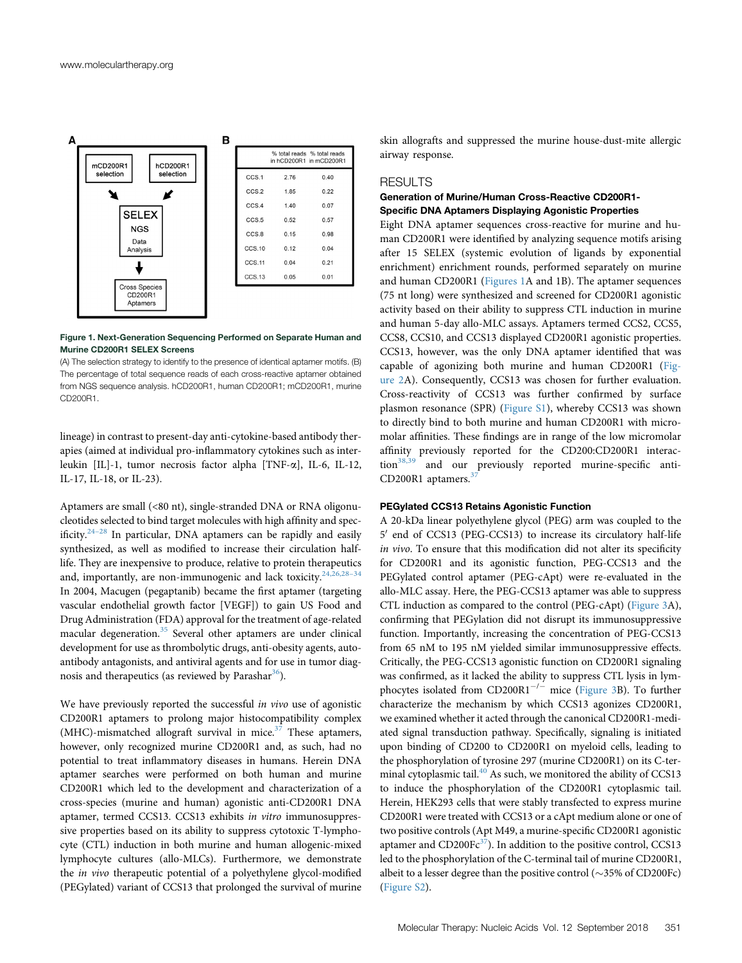<span id="page-1-0"></span>

#### Figure 1. Next-Generation Sequencing Performed on Separate Human and Murine CD200R1 SELEX Screens

(A) The selection strategy to identify to the presence of identical aptamer motifs. (B) The percentage of total sequence reads of each cross-reactive aptamer obtained from NGS sequence analysis. hCD200R1, human CD200R1; mCD200R1, murine CD200R1.

lineage) in contrast to present-day anti-cytokine-based antibody therapies (aimed at individual pro-inflammatory cytokines such as interleukin [IL]-1, tumor necrosis factor alpha [TNF-a], IL-6, IL-12, IL-17, IL-18, or IL-23).

Aptamers are small (<80 nt), single-stranded DNA or RNA oligonucleotides selected to bind target molecules with high affinity and specificity. $24-28$  $24-28$  In particular, DNA aptamers can be rapidly and easily synthesized, as well as modified to increase their circulation halflife. They are inexpensive to produce, relative to protein therapeutics and, importantly, are non-immunogenic and lack toxicity.<sup>[24,26,28](#page-7-11)-34</sup> In 2004, Macugen (pegaptanib) became the first aptamer (targeting vascular endothelial growth factor [VEGF]) to gain US Food and Drug Administration (FDA) approval for the treatment of age-related macular degeneration.<sup>[35](#page-7-12)</sup> Several other aptamers are under clinical development for use as thrombolytic drugs, anti-obesity agents, autoantibody antagonists, and antiviral agents and for use in tumor diagnosis and therapeutics (as reviewed by Parashar $36$ ).

We have previously reported the successful in vivo use of agonistic CD200R1 aptamers to prolong major histocompatibility complex (MHC)-mismatched allograft survival in mice. $37$  These aptamers, however, only recognized murine CD200R1 and, as such, had no potential to treat inflammatory diseases in humans. Herein DNA aptamer searches were performed on both human and murine CD200R1 which led to the development and characterization of a cross-species (murine and human) agonistic anti-CD200R1 DNA aptamer, termed CCS13. CCS13 exhibits in vitro immunosuppressive properties based on its ability to suppress cytotoxic T-lymphocyte (CTL) induction in both murine and human allogenic-mixed lymphocyte cultures (allo-MLCs). Furthermore, we demonstrate the in vivo therapeutic potential of a polyethylene glycol-modified (PEGylated) variant of CCS13 that prolonged the survival of murine

skin allografts and suppressed the murine house-dust-mite allergic airway response.

#### RESULTS

# Generation of Murine/Human Cross-Reactive CD200R1- Specific DNA Aptamers Displaying Agonistic Properties

Eight DNA aptamer sequences cross-reactive for murine and human CD200R1 were identified by analyzing sequence motifs arising after 15 SELEX (systemic evolution of ligands by exponential enrichment) enrichment rounds, performed separately on murine and human CD200R1 [\(Figures 1](#page-1-0)A and 1B). The aptamer sequences (75 nt long) were synthesized and screened for CD200R1 agonistic activity based on their ability to suppress CTL induction in murine and human 5-day allo-MLC assays. Aptamers termed CCS2, CCS5, CCS8, CCS10, and CCS13 displayed CD200R1 agonistic properties. CCS13, however, was the only DNA aptamer identified that was capable of agonizing both murine and human CD200R1 ([Fig](#page-2-0)[ure 2](#page-2-0)A). Consequently, CCS13 was chosen for further evaluation. Cross-reactivity of CCS13 was further confirmed by surface plasmon resonance (SPR) (Figure S1), whereby CCS13 was shown to directly bind to both murine and human CD200R1 with micromolar affinities. These findings are in range of the low micromolar affinity previously reported for the CD200:CD200R1 interac-tion<sup>[38,39](#page-7-15)</sup> and our previously reported murine-specific anti-CD200R1 aptamers.<sup>3</sup>

#### PEGylated CCS13 Retains Agonistic Function

A 20-kDa linear polyethylene glycol (PEG) arm was coupled to the 5' end of CCS13 (PEG-CCS13) to increase its circulatory half-life in vivo. To ensure that this modification did not alter its specificity for CD200R1 and its agonistic function, PEG-CCS13 and the PEGylated control aptamer (PEG-cApt) were re-evaluated in the allo-MLC assay. Here, the PEG-CCS13 aptamer was able to suppress CTL induction as compared to the control (PEG-cApt) [\(Figure 3A](#page-3-0)), confirming that PEGylation did not disrupt its immunosuppressive function. Importantly, increasing the concentration of PEG-CCS13 from 65 nM to 195 nM yielded similar immunosuppressive effects. Critically, the PEG-CCS13 agonistic function on CD200R1 signaling was confirmed, as it lacked the ability to suppress CTL lysis in lymphocytes isolated from  $CD200R1^{-/-}$  mice ([Figure 3B](#page-3-0)). To further characterize the mechanism by which CCS13 agonizes CD200R1, we examined whether it acted through the canonical CD200R1-mediated signal transduction pathway. Specifically, signaling is initiated upon binding of CD200 to CD200R1 on myeloid cells, leading to the phosphorylation of tyrosine 297 (murine CD200R1) on its C-terminal cytoplasmic tail. $40$  As such, we monitored the ability of CCS13 to induce the phosphorylation of the CD200R1 cytoplasmic tail. Herein, HEK293 cells that were stably transfected to express murine CD200R1 were treated with CCS13 or a cApt medium alone or one of two positive controls (Apt M49, a murine-specific CD200R1 agonistic aptamer and  $CD200Fe^{37}$ ). In addition to the positive control, CCS13 led to the phosphorylation of the C-terminal tail of murine CD200R1, albeit to a lesser degree than the positive control ( $\sim$ 35% of CD200Fc) (Figure S2).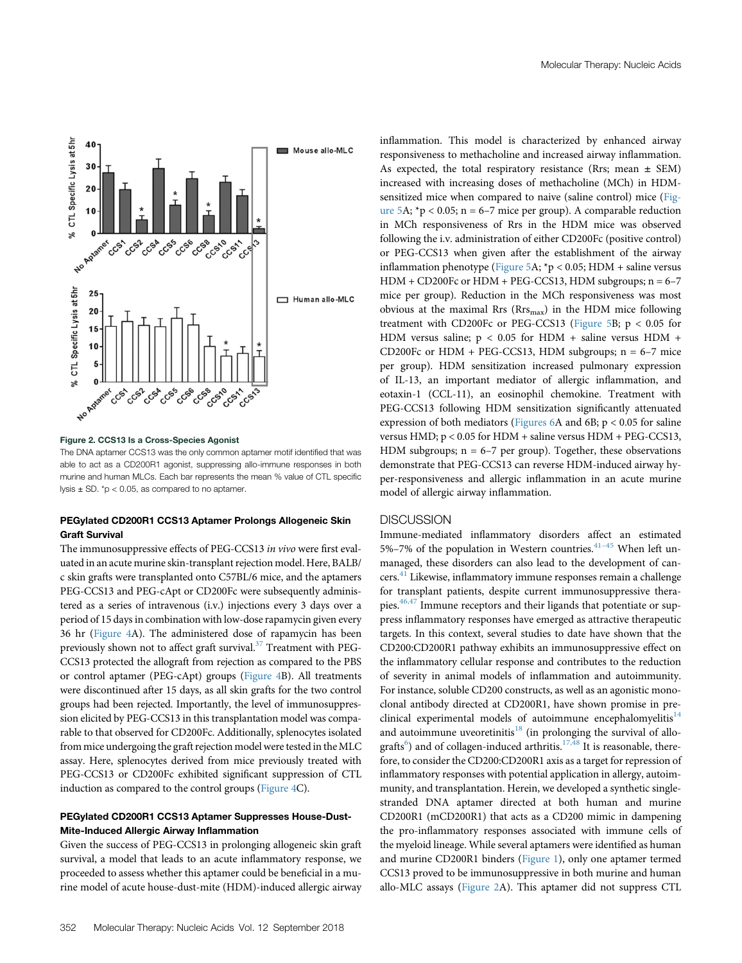<span id="page-2-0"></span>

Figure 2. CCS13 Is a Cross-Species Agonist

The DNA aptamer CCS13 was the only common aptamer motif identified that was able to act as a CD200R1 agonist, suppressing allo-immune responses in both murine and human MLCs. Each bar represents the mean % value of CTL specific lysis  $\pm$  SD.  $*$ p < 0.05, as compared to no aptamer.

## PEGylated CD200R1 CCS13 Aptamer Prolongs Allogeneic Skin Graft Survival

The immunosuppressive effects of PEG-CCS13 in vivo were first evaluated in an acute murine skin-transplant rejection model. Here, BALB/ c skin grafts were transplanted onto C57BL/6 mice, and the aptamers PEG-CCS13 and PEG-cApt or CD200Fc were subsequently administered as a series of intravenous (i.v.) injections every 3 days over a period of 15 days in combination with low-dose rapamycin given every 36 hr [\(Figure 4A](#page-4-0)). The administered dose of rapamycin has been previously shown not to affect graft survival.<sup>[37](#page-7-14)</sup> Treatment with PEG-CCS13 protected the allograft from rejection as compared to the PBS or control aptamer (PEG-cApt) groups [\(Figure 4B](#page-4-0)). All treatments were discontinued after 15 days, as all skin grafts for the two control groups had been rejected. Importantly, the level of immunosuppression elicited by PEG-CCS13 in this transplantation model was comparable to that observed for CD200Fc. Additionally, splenocytes isolated from mice undergoing the graft rejection model were tested in theMLC assay. Here, splenocytes derived from mice previously treated with PEG-CCS13 or CD200Fc exhibited significant suppression of CTL induction as compared to the control groups [\(Figure 4](#page-4-0)C).

# PEGylated CD200R1 CCS13 Aptamer Suppresses House-Dust-Mite-Induced Allergic Airway Inflammation

Given the success of PEG-CCS13 in prolonging allogeneic skin graft survival, a model that leads to an acute inflammatory response, we proceeded to assess whether this aptamer could be beneficial in a murine model of acute house-dust-mite (HDM)-induced allergic airway inflammation. This model is characterized by enhanced airway responsiveness to methacholine and increased airway inflammation. As expected, the total respiratory resistance (Rrs; mean  $\pm$  SEM) increased with increasing doses of methacholine (MCh) in HDMsensitized mice when compared to naive (saline control) mice ([Fig](#page-5-0)[ure 5](#page-5-0)A;  $*p < 0.05$ ; n = 6–7 mice per group). A comparable reduction in MCh responsiveness of Rrs in the HDM mice was observed following the i.v. administration of either CD200Fc (positive control) or PEG-CCS13 when given after the establishment of the airway inflammation phenotype ([Figure 5A](#page-5-0); \*p < 0.05; HDM + saline versus  $HDM + CD200Fc$  or  $HDM + PEG-CCS13$ ,  $HDM$  subgroups;  $n = 6-7$ mice per group). Reduction in the MCh responsiveness was most obvious at the maximal Rrs ( $Rrs<sub>max</sub>$ ) in the HDM mice following treatment with CD200Fc or PEG-CCS13 ([Figure 5](#page-5-0)B;  $p < 0.05$  for HDM versus saline;  $p < 0.05$  for HDM + saline versus HDM + CD200Fc or HDM + PEG-CCS13, HDM subgroups; n = 6–7 mice per group). HDM sensitization increased pulmonary expression of IL-13, an important mediator of allergic inflammation, and eotaxin-1 (CCL-11), an eosinophil chemokine. Treatment with PEG-CCS13 following HDM sensitization significantly attenuated expression of both mediators ([Figures 6](#page-6-7)A and 6B; p < 0.05 for saline versus HMD; p < 0.05 for HDM + saline versus HDM + PEG-CCS13, HDM subgroups;  $n = 6-7$  per group). Together, these observations demonstrate that PEG-CCS13 can reverse HDM-induced airway hyper-responsiveness and allergic inflammation in an acute murine model of allergic airway inflammation.

# **DISCUSSION**

Immune-mediated inflammatory disorders affect an estimated 5%–7% of the population in Western countries.<sup>[41](#page-7-17)-45</sup> When left unmanaged, these disorders can also lead to the development of can-cers.<sup>[41](#page-7-17)</sup> Likewise, inflammatory immune responses remain a challenge for transplant patients, despite current immunosuppressive thera-pies.<sup>[46,47](#page-7-18)</sup> Immune receptors and their ligands that potentiate or suppress inflammatory responses have emerged as attractive therapeutic targets. In this context, several studies to date have shown that the CD200:CD200R1 pathway exhibits an immunosuppressive effect on the inflammatory cellular response and contributes to the reduction of severity in animal models of inflammation and autoimmunity. For instance, soluble CD200 constructs, as well as an agonistic monoclonal antibody directed at CD200R1, have shown promise in pre-clinical experimental models of autoimmune encephalomyelitis<sup>[14](#page-7-2)</sup> and autoimmune uveoretinitis<sup>[18](#page-7-5)</sup> (in prolonging the survival of allo-grafts<sup>[6](#page-6-4)</sup>) and of collagen-induced arthritis.<sup>[17,48](#page-7-4)</sup> It is reasonable, therefore, to consider the CD200:CD200R1 axis as a target for repression of inflammatory responses with potential application in allergy, autoimmunity, and transplantation. Herein, we developed a synthetic singlestranded DNA aptamer directed at both human and murine CD200R1 (mCD200R1) that acts as a CD200 mimic in dampening the pro-inflammatory responses associated with immune cells of the myeloid lineage. While several aptamers were identified as human and murine CD200R1 binders [\(Figure 1](#page-1-0)), only one aptamer termed CCS13 proved to be immunosuppressive in both murine and human allo-MLC assays [\(Figure 2A](#page-2-0)). This aptamer did not suppress CTL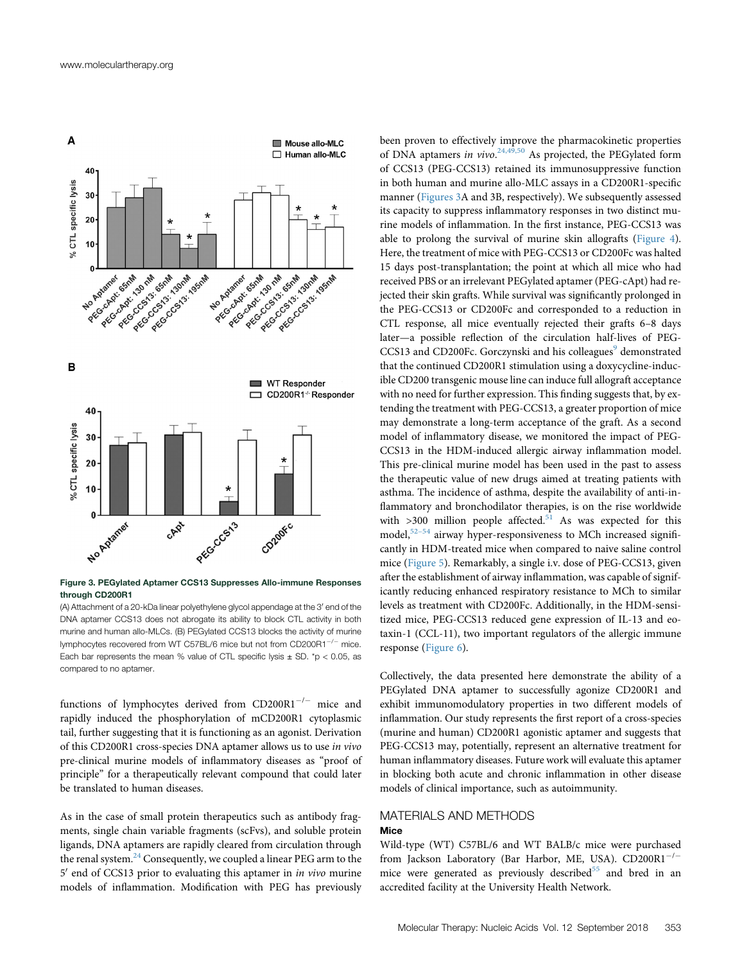<span id="page-3-0"></span>

Figure 3. PEGylated Aptamer CCS13 Suppresses Allo-immune Responses through CD200R1

(A) Attachment of a 20-kDa linear polyethylene glycol appendage at the 3' end of the DNA aptamer CCS13 does not abrogate its ability to block CTL activity in both murine and human allo-MLCs. (B) PEGylated CCS13 blocks the activity of murine lymphocytes recovered from WT C57BL/6 mice but not from CD200R1 $^{-/-}$  mice. Each bar represents the mean % value of CTL specific lysis  $\pm$  SD. \*p < 0.05, as compared to no aptamer.

functions of lymphocytes derived from  $CD200R1^{-/-}$  mice and rapidly induced the phosphorylation of mCD200R1 cytoplasmic tail, further suggesting that it is functioning as an agonist. Derivation of this CD200R1 cross-species DNA aptamer allows us to use in vivo pre-clinical murine models of inflammatory diseases as "proof of principle" for a therapeutically relevant compound that could later be translated to human diseases.

As in the case of small protein therapeutics such as antibody fragments, single chain variable fragments (scFvs), and soluble protein ligands, DNA aptamers are rapidly cleared from circulation through the renal system. $24$  Consequently, we coupled a linear PEG arm to the  $5'$  end of CCS13 prior to evaluating this aptamer in *in vivo* murine models of inflammation. Modification with PEG has previously

been proven to effectively improve the pharmacokinetic properties of DNA aptamers in vivo.<sup>[24,49,50](#page-7-11)</sup> As projected, the PEGylated form of CCS13 (PEG-CCS13) retained its immunosuppressive function in both human and murine allo-MLC assays in a CD200R1-specific manner [\(Figures 3A](#page-3-0) and 3B, respectively). We subsequently assessed its capacity to suppress inflammatory responses in two distinct murine models of inflammation. In the first instance, PEG-CCS13 was able to prolong the survival of murine skin allografts ([Figure 4\)](#page-4-0). Here, the treatment of mice with PEG-CCS13 or CD200Fc was halted 15 days post-transplantation; the point at which all mice who had received PBS or an irrelevant PEGylated aptamer (PEG-cApt) had rejected their skin grafts. While survival was significantly prolonged in the PEG-CCS13 or CD200Fc and corresponded to a reduction in CTL response, all mice eventually rejected their grafts 6–8 days later—a possible reflection of the circulation half-lives of PEG-CCS13 and CD200Fc. Gorczynski and his colleagues<sup>[9](#page-6-8)</sup> demonstrated that the continued CD200R1 stimulation using a doxycycline-inducible CD200 transgenic mouse line can induce full allograft acceptance with no need for further expression. This finding suggests that, by extending the treatment with PEG-CCS13, a greater proportion of mice may demonstrate a long-term acceptance of the graft. As a second model of inflammatory disease, we monitored the impact of PEG-CCS13 in the HDM-induced allergic airway inflammation model. This pre-clinical murine model has been used in the past to assess the therapeutic value of new drugs aimed at treating patients with asthma. The incidence of asthma, despite the availability of anti-inflammatory and bronchodilator therapies, is on the rise worldwide with  $>300$  million people affected.<sup>[51](#page-7-19)</sup> As was expected for this model,<sup>[52](#page-7-20)-54</sup> airway hyper-responsiveness to MCh increased significantly in HDM-treated mice when compared to naive saline control mice ([Figure 5](#page-5-0)). Remarkably, a single i.v. dose of PEG-CCS13, given after the establishment of airway inflammation, was capable of significantly reducing enhanced respiratory resistance to MCh to similar levels as treatment with CD200Fc. Additionally, in the HDM-sensitized mice, PEG-CCS13 reduced gene expression of IL-13 and eotaxin-1 (CCL-11), two important regulators of the allergic immune response [\(Figure 6\)](#page-6-7).

Collectively, the data presented here demonstrate the ability of a PEGylated DNA aptamer to successfully agonize CD200R1 and exhibit immunomodulatory properties in two different models of inflammation. Our study represents the first report of a cross-species (murine and human) CD200R1 agonistic aptamer and suggests that PEG-CCS13 may, potentially, represent an alternative treatment for human inflammatory diseases. Future work will evaluate this aptamer in blocking both acute and chronic inflammation in other disease models of clinical importance, such as autoimmunity.

# MATERIALS AND METHODS Mice

Wild-type (WT) C57BL/6 and WT BALB/c mice were purchased from Jackson Laboratory (Bar Harbor, ME, USA). CD200R1<sup>-/-</sup> mice were generated as previously described $55$  and bred in an accredited facility at the University Health Network.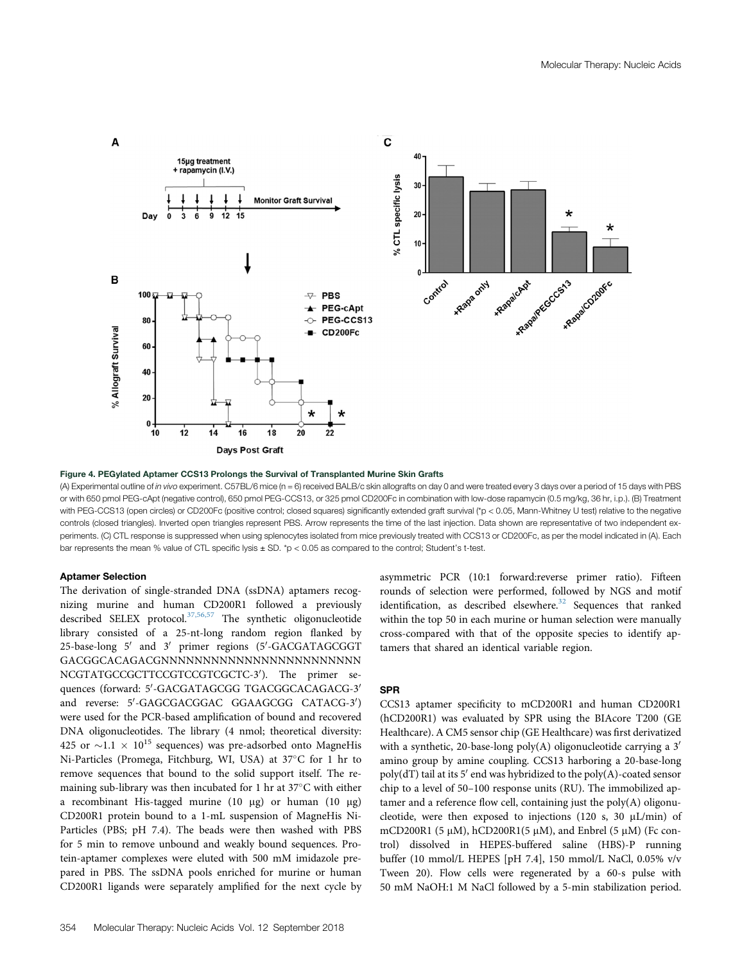<span id="page-4-0"></span>

Figure 4. PEGylated Aptamer CCS13 Prolongs the Survival of Transplanted Murine Skin Grafts

(A) Experimental outline of in vivo experiment. C57BL/6 mice (n = 6) received BALB/c skin allografts on day 0 and were treated every 3 days over a period of 15 days with PBS or with 650 pmol PEG-cApt (negative control), 650 pmol PEG-CCS13, or 325 pmol CD200Fc in combination with low-dose rapamycin (0.5 mg/kg, 36 hr, i.p.). (B) Treatment with PEG-CCS13 (open circles) or CD200Fc (positive control; closed squares) significantly extended graft survival (\*p < 0.05, Mann-Whitney U test) relative to the negative controls (closed triangles). Inverted open triangles represent PBS. Arrow represents the time of the last injection. Data shown are representative of two independent experiments. (C) CTL response is suppressed when using splenocytes isolated from mice previously treated with CCS13 or CD200Fc, as per the model indicated in (A). Each bar represents the mean % value of CTL specific lysis ± SD. \*p < 0.05 as compared to the control; Student's t-test.

#### Aptamer Selection

The derivation of single-stranded DNA (ssDNA) aptamers recognizing murine and human CD200R1 followed a previously described SELEX protocol.<sup>[37,56,57](#page-7-14)</sup> The synthetic oligonucleotide library consisted of a 25-nt-long random region flanked by 25-base-long 5' and 3' primer regions (5'-GACGATAGCGGT GACGGCACAGACGNNNNNNNNNNNNNNNNNNNNNNNN NCGTATGCCGCTTCCGTCCGTCGCTC-3'). The primer sequences (forward: 5'-GACGATAGCGG TGACGGCACAGACG-3' and reverse: 5'-GAGCGACGGAC GGAAGCGG CATACG-3') were used for the PCR-based amplification of bound and recovered DNA oligonucleotides. The library (4 nmol; theoretical diversity: 425 or  $\sim$ 1.1  $\times$  10<sup>15</sup> sequences) was pre-adsorbed onto MagneHis Ni-Particles (Promega, Fitchburg, WI, USA) at 37°C for 1 hr to remove sequences that bound to the solid support itself. The remaining sub-library was then incubated for 1 hr at  $37^{\circ}$ C with either a recombinant His-tagged murine (10  $\mu$ g) or human (10  $\mu$ g) CD200R1 protein bound to a 1-mL suspension of MagneHis Ni-Particles (PBS; pH 7.4). The beads were then washed with PBS for 5 min to remove unbound and weakly bound sequences. Protein-aptamer complexes were eluted with 500 mM imidazole prepared in PBS. The ssDNA pools enriched for murine or human CD200R1 ligands were separately amplified for the next cycle by

asymmetric PCR (10:1 forward:reverse primer ratio). Fifteen rounds of selection were performed, followed by NGS and motif identification, as described elsewhere.<sup>[32](#page-7-21)</sup> Sequences that ranked within the top 50 in each murine or human selection were manually cross-compared with that of the opposite species to identify aptamers that shared an identical variable region.

## SPR

CCS13 aptamer specificity to mCD200R1 and human CD200R1 (hCD200R1) was evaluated by SPR using the BIAcore T200 (GE Healthcare). A CM5 sensor chip (GE Healthcare) was first derivatized with a synthetic, 20-base-long poly(A) oligonucleotide carrying a  $3'$ amino group by amine coupling. CCS13 harboring a 20-base-long poly(dT) tail at its  $5'$  end was hybridized to the poly(A)-coated sensor chip to a level of 50–100 response units (RU). The immobilized aptamer and a reference flow cell, containing just the poly(A) oligonucleotide, were then exposed to injections (120 s, 30  $\mu$ L/min) of mCD200R1 (5  $\mu$ M), hCD200R1(5  $\mu$ M), and Enbrel (5  $\mu$ M) (Fc control) dissolved in HEPES-buffered saline (HBS)-P running buffer (10 mmol/L HEPES [pH 7.4], 150 mmol/L NaCl, 0.05% v/v Tween 20). Flow cells were regenerated by a 60-s pulse with 50 mM NaOH:1 M NaCl followed by a 5-min stabilization period.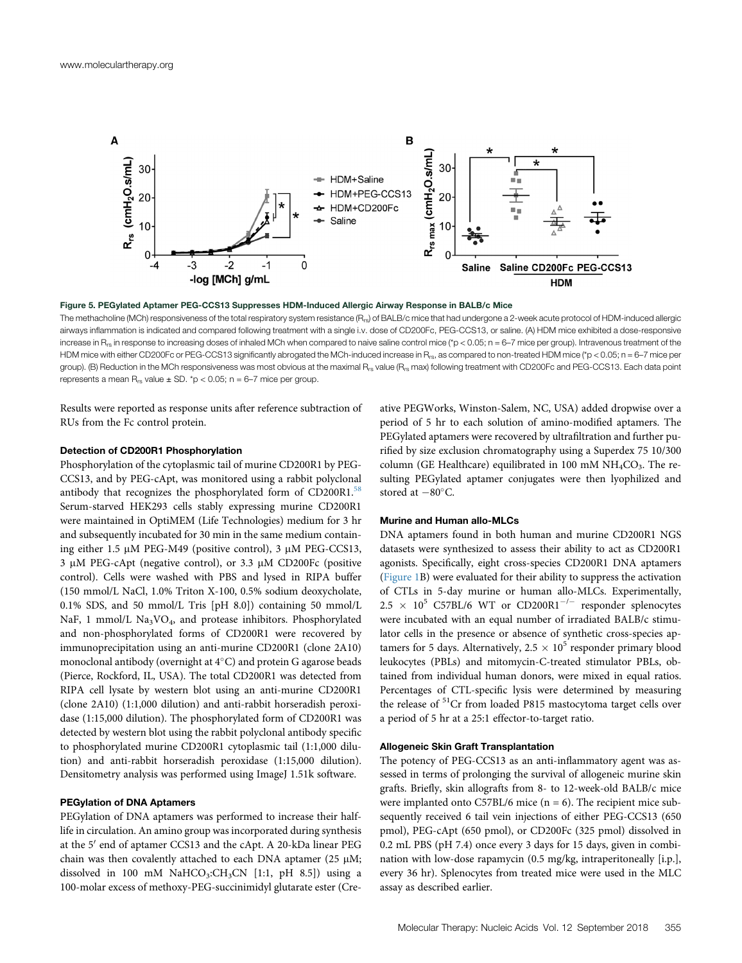<span id="page-5-0"></span>

Figure 5. PEGylated Aptamer PEG-CCS13 Suppresses HDM-Induced Allergic Airway Response in BALB/c Mice

The methacholine (MCh) responsiveness of the total respiratory system resistance  $(R_{rs})$  of BALB/c mice that had undergone a 2-week acute protocol of HDM-induced allergic airways inflammation is indicated and compared following treatment with a single i.v. dose of CD200Fc, PEG-CCS13, or saline. (A) HDM mice exhibited a dose-responsive increase in R<sub>rs</sub> in response to increasing doses of inhaled MCh when compared to naive saline control mice (\*p < 0.05; n = 6–7 mice per group). Intravenous treatment of the HDM mice with either CD200Fc or PEG-CCS13 significantly abrogated the MCh-induced increase in R<sub>rs</sub>, as compared to non-treated HDM mice (\*p < 0.05; n = 6-7 mice per group). (B) Reduction in the MCh responsiveness was most obvious at the maximal R<sub>rs</sub> value (R<sub>rs</sub> max) following treatment with CD200Fc and PEG-CCS13. Each data point represents a mean  $R_{rs}$  value  $\pm$  SD. \*p < 0.05; n = 6–7 mice per group.

Results were reported as response units after reference subtraction of RUs from the Fc control protein.

# Detection of CD200R1 Phosphorylation

Phosphorylation of the cytoplasmic tail of murine CD200R1 by PEG-CCS13, and by PEG-cApt, was monitored using a rabbit polyclonal antibody that recognizes the phosphorylated form of CD200R1.<sup>[58](#page-8-1)</sup> Serum-starved HEK293 cells stably expressing murine CD200R1 were maintained in OptiMEM (Life Technologies) medium for 3 hr and subsequently incubated for 30 min in the same medium containing either 1.5 µM PEG-M49 (positive control), 3 µM PEG-CCS13,  $3 \mu M$  PEG-cApt (negative control), or  $3.3 \mu M$  CD200Fc (positive control). Cells were washed with PBS and lysed in RIPA buffer (150 mmol/L NaCl, 1.0% Triton X-100, 0.5% sodium deoxycholate, 0.1% SDS, and 50 mmol/L Tris [pH 8.0]) containing 50 mmol/L NaF, 1 mmol/L Na<sub>3</sub>VO<sub>4</sub>, and protease inhibitors. Phosphorylated and non-phosphorylated forms of CD200R1 were recovered by immunoprecipitation using an anti-murine CD200R1 (clone 2A10) monoclonal antibody (overnight at  $4^{\circ}$ C) and protein G agarose beads (Pierce, Rockford, IL, USA). The total CD200R1 was detected from RIPA cell lysate by western blot using an anti-murine CD200R1 (clone 2A10) (1:1,000 dilution) and anti-rabbit horseradish peroxidase (1:15,000 dilution). The phosphorylated form of CD200R1 was detected by western blot using the rabbit polyclonal antibody specific to phosphorylated murine CD200R1 cytoplasmic tail (1:1,000 dilution) and anti-rabbit horseradish peroxidase (1:15,000 dilution). Densitometry analysis was performed using ImageJ 1.51k software.

#### PEGylation of DNA Aptamers

PEGylation of DNA aptamers was performed to increase their halflife in circulation. An amino group was incorporated during synthesis at the 5' end of aptamer CCS13 and the cApt. A 20-kDa linear PEG chain was then covalently attached to each DNA aptamer (25  $\mu$ M; dissolved in 100 mM NaHCO<sub>3</sub>:CH<sub>3</sub>CN [1:1, pH 8.5]) using a 100-molar excess of methoxy-PEG-succinimidyl glutarate ester (Creative PEGWorks, Winston-Salem, NC, USA) added dropwise over a period of 5 hr to each solution of amino-modified aptamers. The PEGylated aptamers were recovered by ultrafiltration and further purified by size exclusion chromatography using a Superdex 75 10/300 column (GE Healthcare) equilibrated in 100 mM  $NH<sub>4</sub>CO<sub>3</sub>$ . The resulting PEGylated aptamer conjugates were then lyophilized and stored at  $-80^{\circ}$ C.

#### Murine and Human allo-MLCs

DNA aptamers found in both human and murine CD200R1 NGS datasets were synthesized to assess their ability to act as CD200R1 agonists. Specifically, eight cross-species CD200R1 DNA aptamers ([Figure 1](#page-1-0)B) were evaluated for their ability to suppress the activation of CTLs in 5-day murine or human allo-MLCs. Experimentally,  $2.5 \times 10^5$  C57BL/6 WT or CD200R1<sup>-/-</sup> responder splenocytes were incubated with an equal number of irradiated BALB/c stimulator cells in the presence or absence of synthetic cross-species aptamers for 5 days. Alternatively,  $2.5 \times 10^5$  responder primary blood leukocytes (PBLs) and mitomycin-C-treated stimulator PBLs, obtained from individual human donors, were mixed in equal ratios. Percentages of CTL-specific lysis were determined by measuring the release of <sup>51</sup>Cr from loaded P815 mastocytoma target cells over a period of 5 hr at a 25:1 effector-to-target ratio.

#### Allogeneic Skin Graft Transplantation

The potency of PEG-CCS13 as an anti-inflammatory agent was assessed in terms of prolonging the survival of allogeneic murine skin grafts. Briefly, skin allografts from 8- to 12-week-old BALB/c mice were implanted onto C57BL/6 mice  $(n = 6)$ . The recipient mice subsequently received 6 tail vein injections of either PEG-CCS13 (650 pmol), PEG-cApt (650 pmol), or CD200Fc (325 pmol) dissolved in 0.2 mL PBS (pH 7.4) once every 3 days for 15 days, given in combination with low-dose rapamycin (0.5 mg/kg, intraperitoneally [i.p.], every 36 hr). Splenocytes from treated mice were used in the MLC assay as described earlier.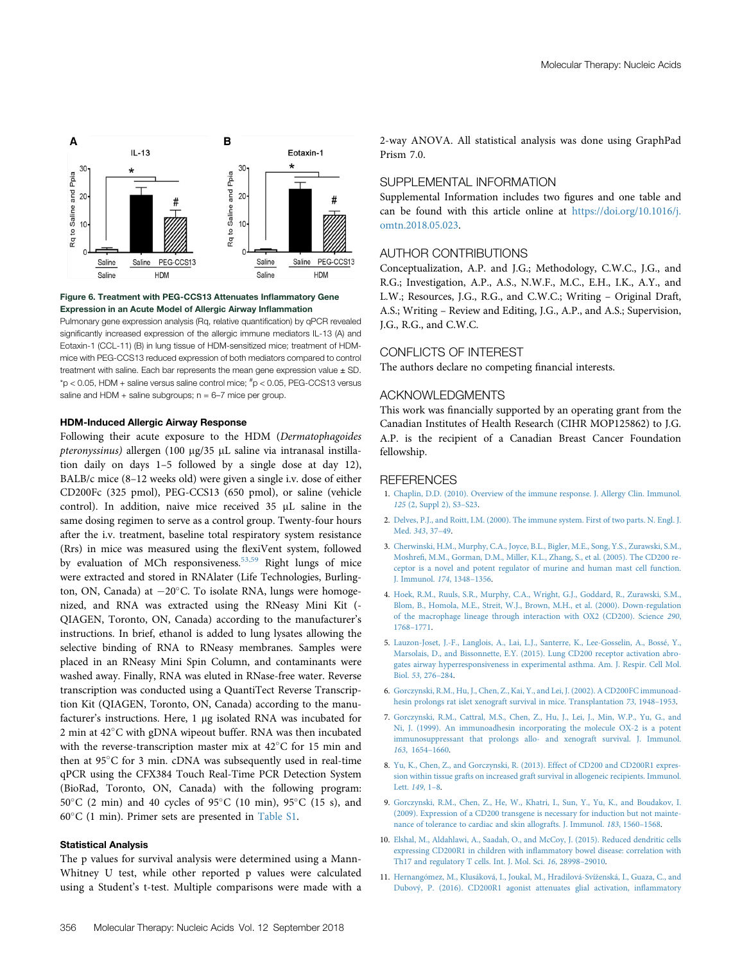<span id="page-6-7"></span>

## Figure 6. Treatment with PEG-CCS13 Attenuates Inflammatory Gene Expression in an Acute Model of Allergic Airway Inflammation

Pulmonary gene expression analysis (Rq, relative quantification) by qPCR revealed significantly increased expression of the allergic immune mediators IL-13 (A) and Eotaxin-1 (CCL-11) (B) in lung tissue of HDM-sensitized mice; treatment of HDMmice with PEG-CCS13 reduced expression of both mediators compared to control treatment with saline. Each bar represents the mean gene expression value  $\pm$  SD.  $*$ p < 0.05, HDM + saline versus saline control mice;  $*$ p < 0.05, PEG-CCS13 versus saline and HDM + saline subgroups;  $n = 6-7$  mice per group.

#### HDM-Induced Allergic Airway Response

Following their acute exposure to the HDM (Dermatophagoides pteronyssinus) allergen (100 µg/35 µL saline via intranasal instillation daily on days 1–5 followed by a single dose at day 12), BALB/c mice (8–12 weeks old) were given a single i.v. dose of either CD200Fc (325 pmol), PEG-CCS13 (650 pmol), or saline (vehicle control). In addition, naive mice received  $35$   $\mu$ L saline in the same dosing regimen to serve as a control group. Twenty-four hours after the i.v. treatment, baseline total respiratory system resistance (Rrs) in mice was measured using the flexiVent system, followed by evaluation of MCh responsiveness.<sup>[53,59](#page-7-22)</sup> Right lungs of mice were extracted and stored in RNAlater (Life Technologies, Burlington, ON, Canada) at  $-20^{\circ}$ C. To isolate RNA, lungs were homogenized, and RNA was extracted using the RNeasy Mini Kit (- QIAGEN, Toronto, ON, Canada) according to the manufacturer's instructions. In brief, ethanol is added to lung lysates allowing the selective binding of RNA to RNeasy membranes. Samples were placed in an RNeasy Mini Spin Column, and contaminants were washed away. Finally, RNA was eluted in RNase-free water. Reverse transcription was conducted using a QuantiTect Reverse Transcription Kit (QIAGEN, Toronto, ON, Canada) according to the manufacturer's instructions. Here, 1 µg isolated RNA was incubated for 2 min at  $42^{\circ}$ C with gDNA wipeout buffer. RNA was then incubated with the reverse-transcription master mix at  $42^{\circ}$ C for 15 min and then at  $95^{\circ}$ C for 3 min. cDNA was subsequently used in real-time qPCR using the CFX384 Touch Real-Time PCR Detection System (BioRad, Toronto, ON, Canada) with the following program:  $50^{\circ}$ C (2 min) and 40 cycles of 95 $^{\circ}$ C (10 min), 95 $^{\circ}$ C (15 s), and  $60^{\circ}$ C (1 min). Primer sets are presented in Table S1.

# Statistical Analysis

The p values for survival analysis were determined using a Mann-Whitney U test, while other reported p values were calculated using a Student's t-test. Multiple comparisons were made with a 2-way ANOVA. All statistical analysis was done using GraphPad Prism 7.0.

# SUPPLEMENTAL INFORMATION

Supplemental Information includes two figures and one table and can be found with this article online at [https://doi.org/10.1016/j.](https://doi.org/10.1016/j.omtn.2018.05.023) [omtn.2018.05.023.](https://doi.org/10.1016/j.omtn.2018.05.023)

## AUTHOR CONTRIBUTIONS

Conceptualization, A.P. and J.G.; Methodology, C.W.C., J.G., and R.G.; Investigation, A.P., A.S., N.W.F., M.C., E.H., I.K., A.Y., and L.W.; Resources, J.G., R.G., and C.W.C.; Writing – Original Draft, A.S.; Writing – Review and Editing, J.G., A.P., and A.S.; Supervision, J.G., R.G., and C.W.C.

# CONFLICTS OF INTEREST

The authors declare no competing financial interests.

# ACKNOWLEDGMENTS

This work was financially supported by an operating grant from the Canadian Institutes of Health Research (CIHR MOP125862) to J.G. A.P. is the recipient of a Canadian Breast Cancer Foundation fellowship.

#### **REFERENCES**

- <span id="page-6-0"></span>1. [Chaplin, D.D. \(2010\). Overview of the immune response. J. Allergy Clin. Immunol.](http://refhub.elsevier.com/S2162-2531(18)30123-9/sref1) 125 [\(2, Suppl 2\), S3](http://refhub.elsevier.com/S2162-2531(18)30123-9/sref1)–S23.
- 2. [Delves, P.J., and Roitt, I.M. \(2000\). The immune system. First of two parts. N. Engl. J.](http://refhub.elsevier.com/S2162-2531(18)30123-9/sref2) [Med.](http://refhub.elsevier.com/S2162-2531(18)30123-9/sref2) 343, 37–49.
- <span id="page-6-1"></span>3. [Cherwinski, H.M., Murphy, C.A., Joyce, B.L., Bigler, M.E., Song, Y.S., Zurawski, S.M.,](http://refhub.elsevier.com/S2162-2531(18)30123-9/sref3) Moshrefi[, M.M., Gorman, D.M., Miller, K.L., Zhang, S., et al. \(2005\). The CD200 re](http://refhub.elsevier.com/S2162-2531(18)30123-9/sref3)[ceptor is a novel and potent regulator of murine and human mast cell function.](http://refhub.elsevier.com/S2162-2531(18)30123-9/sref3) [J. Immunol.](http://refhub.elsevier.com/S2162-2531(18)30123-9/sref3) 174, 1348–1356.
- <span id="page-6-2"></span>4. [Hoek, R.M., Ruuls, S.R., Murphy, C.A., Wright, G.J., Goddard, R., Zurawski, S.M.,](http://refhub.elsevier.com/S2162-2531(18)30123-9/sref4) [Blom, B., Homola, M.E., Streit, W.J., Brown, M.H., et al. \(2000\). Down-regulation](http://refhub.elsevier.com/S2162-2531(18)30123-9/sref4) [of the macrophage lineage through interaction with OX2 \(CD200\). Science](http://refhub.elsevier.com/S2162-2531(18)30123-9/sref4) 290, 1768–[1771.](http://refhub.elsevier.com/S2162-2531(18)30123-9/sref4)
- <span id="page-6-3"></span>5. [Lauzon-Joset, J.-F., Langlois, A., Lai, L.J., Santerre, K., Lee-Gosselin, A., Bossé, Y.,](http://refhub.elsevier.com/S2162-2531(18)30123-9/sref5) [Marsolais, D., and Bissonnette, E.Y. \(2015\). Lung CD200 receptor activation abro](http://refhub.elsevier.com/S2162-2531(18)30123-9/sref5)[gates airway hyperresponsiveness in experimental asthma. Am. J. Respir. Cell Mol.](http://refhub.elsevier.com/S2162-2531(18)30123-9/sref5) Biol. 53[, 276](http://refhub.elsevier.com/S2162-2531(18)30123-9/sref5)–284.
- <span id="page-6-4"></span>6. [Gorczynski, R.M., Hu, J., Chen, Z., Kai, Y., and Lei, J. \(2002\). A CD200FC immunoad](http://refhub.elsevier.com/S2162-2531(18)30123-9/sref6)[hesin prolongs rat islet xenograft survival in mice. Transplantation](http://refhub.elsevier.com/S2162-2531(18)30123-9/sref6) 73, 1948–1953.
- 7. [Gorczynski, R.M., Cattral, M.S., Chen, Z., Hu, J., Lei, J., Min, W.P., Yu, G., and](http://refhub.elsevier.com/S2162-2531(18)30123-9/sref7) [Ni, J. \(1999\). An immunoadhesin incorporating the molecule OX-2 is a potent](http://refhub.elsevier.com/S2162-2531(18)30123-9/sref7) [immunosuppressant that prolongs allo- and xenograft survival. J. Immunol.](http://refhub.elsevier.com/S2162-2531(18)30123-9/sref7) 163[, 1654](http://refhub.elsevier.com/S2162-2531(18)30123-9/sref7)–1660.
- 8. [Yu, K., Chen, Z., and Gorczynski, R. \(2013\). Effect of CD200 and CD200R1 expres](http://refhub.elsevier.com/S2162-2531(18)30123-9/sref8)[sion within tissue grafts on increased graft survival in allogeneic recipients. Immunol.](http://refhub.elsevier.com/S2162-2531(18)30123-9/sref8) [Lett.](http://refhub.elsevier.com/S2162-2531(18)30123-9/sref8) 149, 1–8.
- <span id="page-6-8"></span>9. [Gorczynski, R.M., Chen, Z., He, W., Khatri, I., Sun, Y., Yu, K., and Boudakov, I.](http://refhub.elsevier.com/S2162-2531(18)30123-9/sref9) [\(2009\). Expression of a CD200 transgene is necessary for induction but not mainte](http://refhub.elsevier.com/S2162-2531(18)30123-9/sref9)[nance of tolerance to cardiac and skin allografts. J. Immunol.](http://refhub.elsevier.com/S2162-2531(18)30123-9/sref9) 183, 1560–1568.
- <span id="page-6-5"></span>10. [Elshal, M., Aldahlawi, A., Saadah, O., and McCoy, J. \(2015\). Reduced dendritic cells](http://refhub.elsevier.com/S2162-2531(18)30123-9/sref10) expressing CD200R1 in children with infl[ammatory bowel disease: correlation with](http://refhub.elsevier.com/S2162-2531(18)30123-9/sref10) [Th17 and regulatory T cells. Int. J. Mol. Sci.](http://refhub.elsevier.com/S2162-2531(18)30123-9/sref10) 16, 28998–29010.
- <span id="page-6-6"></span>11. [Hernangómez, M., Klusáková, I., Joukal, M., Hradilová-Sví](http://refhub.elsevier.com/S2162-2531(18)30123-9/sref11)z[enská, I., Guaza, C., and](http://refhub.elsevier.com/S2162-2531(18)30123-9/sref11) [Dubový, P. \(2016\). CD200R1 agonist attenuates glial activation, in](http://refhub.elsevier.com/S2162-2531(18)30123-9/sref11)flammatory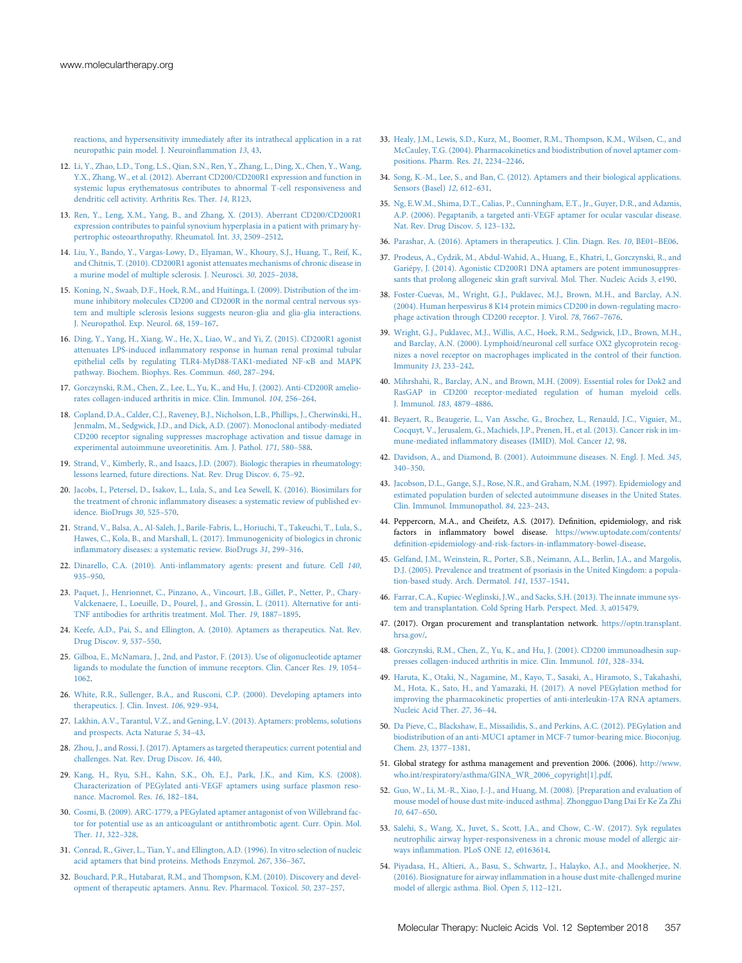[reactions, and hypersensitivity immediately after its intrathecal application in a rat](http://refhub.elsevier.com/S2162-2531(18)30123-9/sref11) [neuropathic pain model. J. Neuroin](http://refhub.elsevier.com/S2162-2531(18)30123-9/sref11)flammation 13, 43.

- <span id="page-7-0"></span>12. [Li, Y., Zhao, L.D., Tong, L.S., Qian, S.N., Ren, Y., Zhang, L., Ding, X., Chen, Y., Wang,](http://refhub.elsevier.com/S2162-2531(18)30123-9/sref12) [Y.X., Zhang, W., et al. \(2012\). Aberrant CD200/CD200R1 expression and function in](http://refhub.elsevier.com/S2162-2531(18)30123-9/sref12) [systemic lupus erythematosus contributes to abnormal T-cell responsiveness and](http://refhub.elsevier.com/S2162-2531(18)30123-9/sref12) [dendritic cell activity. Arthritis Res. Ther.](http://refhub.elsevier.com/S2162-2531(18)30123-9/sref12) 14, R123.
- <span id="page-7-1"></span>13. [Ren, Y., Leng, X.M., Yang, B., and Zhang, X. \(2013\). Aberrant CD200/CD200R1](http://refhub.elsevier.com/S2162-2531(18)30123-9/sref13) [expression contributes to painful synovium hyperplasia in a patient with primary hy](http://refhub.elsevier.com/S2162-2531(18)30123-9/sref13)[pertrophic osteoarthropathy. Rheumatol. Int.](http://refhub.elsevier.com/S2162-2531(18)30123-9/sref13) 33, 2509–2512.
- <span id="page-7-2"></span>14. [Liu, Y., Bando, Y., Vargas-Lowy, D., Elyaman, W., Khoury, S.J., Huang, T., Reif, K.,](http://refhub.elsevier.com/S2162-2531(18)30123-9/sref14) [and Chitnis, T. \(2010\). CD200R1 agonist attenuates mechanisms of chronic disease in](http://refhub.elsevier.com/S2162-2531(18)30123-9/sref14) [a murine model of multiple sclerosis. J. Neurosci.](http://refhub.elsevier.com/S2162-2531(18)30123-9/sref14) 30, 2025–2038.
- 15. [Koning, N., Swaab, D.F., Hoek, R.M., and Huitinga, I. \(2009\). Distribution of the im](http://refhub.elsevier.com/S2162-2531(18)30123-9/sref15)[mune inhibitory molecules CD200 and CD200R in the normal central nervous sys](http://refhub.elsevier.com/S2162-2531(18)30123-9/sref15)[tem and multiple sclerosis lesions suggests neuron-glia and glia-glia interactions.](http://refhub.elsevier.com/S2162-2531(18)30123-9/sref15) [J. Neuropathol. Exp. Neurol.](http://refhub.elsevier.com/S2162-2531(18)30123-9/sref15) 68, 159–167.
- <span id="page-7-3"></span>16. [Ding, Y., Yang, H., Xiang, W., He, X., Liao, W., and Yi, Z. \(2015\). CD200R1 agonist](http://refhub.elsevier.com/S2162-2531(18)30123-9/sref16) attenuates LPS-induced infl[ammatory response in human renal proximal tubular](http://refhub.elsevier.com/S2162-2531(18)30123-9/sref16) [epithelial cells by regulating TLR4-MyD88-TAK1-mediated NF-](http://refhub.elsevier.com/S2162-2531(18)30123-9/sref16)kB and MAPK [pathway. Biochem. Biophys. Res. Commun.](http://refhub.elsevier.com/S2162-2531(18)30123-9/sref16) 460, 287–294.
- <span id="page-7-4"></span>17. [Gorczynski, R.M., Chen, Z., Lee, L., Yu, K., and Hu, J. \(2002\). Anti-CD200R amelio](http://refhub.elsevier.com/S2162-2531(18)30123-9/sref17)[rates collagen-induced arthritis in mice. Clin. Immunol.](http://refhub.elsevier.com/S2162-2531(18)30123-9/sref17) 104, 256–264.
- <span id="page-7-5"></span>18. [Copland, D.A., Calder, C.J., Raveney, B.J., Nicholson, L.B., Phillips, J., Cherwinski, H.,](http://refhub.elsevier.com/S2162-2531(18)30123-9/sref18) [Jenmalm, M., Sedgwick, J.D., and Dick, A.D. \(2007\). Monoclonal antibody-mediated](http://refhub.elsevier.com/S2162-2531(18)30123-9/sref18) [CD200 receptor signaling suppresses macrophage activation and tissue damage in](http://refhub.elsevier.com/S2162-2531(18)30123-9/sref18) [experimental autoimmune uveoretinitis. Am. J. Pathol.](http://refhub.elsevier.com/S2162-2531(18)30123-9/sref18) 171, 580–588.
- <span id="page-7-6"></span>19. [Strand, V., Kimberly, R., and Isaacs, J.D. \(2007\). Biologic therapies in rheumatology:](http://refhub.elsevier.com/S2162-2531(18)30123-9/sref19) [lessons learned, future directions. Nat. Rev. Drug Discov.](http://refhub.elsevier.com/S2162-2531(18)30123-9/sref19) 6, 75–92.
- <span id="page-7-7"></span>20. [Jacobs, I., Petersel, D., Isakov, L., Lula, S., and Lea Sewell, K. \(2016\). Biosimilars for](http://refhub.elsevier.com/S2162-2531(18)30123-9/sref20) the treatment of chronic infl[ammatory diseases: a systematic review of published ev](http://refhub.elsevier.com/S2162-2531(18)30123-9/sref20)[idence. BioDrugs](http://refhub.elsevier.com/S2162-2531(18)30123-9/sref20) 30, 525–570.
- <span id="page-7-8"></span>21. [Strand, V., Balsa, A., Al-Saleh, J., Barile-Fabris, L., Horiuchi, T., Takeuchi, T., Lula, S.,](http://refhub.elsevier.com/S2162-2531(18)30123-9/sref21) [Hawes, C., Kola, B., and Marshall, L. \(2017\). Immunogenicity of biologics in chronic](http://refhub.elsevier.com/S2162-2531(18)30123-9/sref21) infl[ammatory diseases: a systematic review. BioDrugs](http://refhub.elsevier.com/S2162-2531(18)30123-9/sref21) 31, 299–316.
- <span id="page-7-10"></span><span id="page-7-9"></span>22. Dinarello, C.A. (2010). Anti-infl[ammatory agents: present and future. Cell](http://refhub.elsevier.com/S2162-2531(18)30123-9/sref22) 140, 935–[950.](http://refhub.elsevier.com/S2162-2531(18)30123-9/sref22)
- 23. [Paquet, J., Henrionnet, C., Pinzano, A., Vincourt, J.B., Gillet, P., Netter, P., Chary-](http://refhub.elsevier.com/S2162-2531(18)30123-9/sref23)[Valckenaere, I., Loeuille, D., Pourel, J., and Grossin, L. \(2011\). Alternative for anti-](http://refhub.elsevier.com/S2162-2531(18)30123-9/sref23)[TNF antibodies for arthritis treatment. Mol. Ther.](http://refhub.elsevier.com/S2162-2531(18)30123-9/sref23) 19, 1887–1895.
- <span id="page-7-11"></span>24. [Keefe, A.D., Pai, S., and Ellington, A. \(2010\). Aptamers as therapeutics. Nat. Rev.](http://refhub.elsevier.com/S2162-2531(18)30123-9/sref24) [Drug Discov.](http://refhub.elsevier.com/S2162-2531(18)30123-9/sref24) 9, 537–550.
- 25. [Gilboa, E., McNamara, J., 2nd, and Pastor, F. \(2013\). Use of oligonucleotide aptamer](http://refhub.elsevier.com/S2162-2531(18)30123-9/sref25) [ligands to modulate the function of immune receptors. Clin. Cancer Res.](http://refhub.elsevier.com/S2162-2531(18)30123-9/sref25) 19, 1054– [1062](http://refhub.elsevier.com/S2162-2531(18)30123-9/sref25).
- 26. [White, R.R., Sullenger, B.A., and Rusconi, C.P. \(2000\). Developing aptamers into](http://refhub.elsevier.com/S2162-2531(18)30123-9/sref26) [therapeutics. J. Clin. Invest.](http://refhub.elsevier.com/S2162-2531(18)30123-9/sref26) 106, 929–934.
- 27. [Lakhin, A.V., Tarantul, V.Z., and Gening, L.V. \(2013\). Aptamers: problems, solutions](http://refhub.elsevier.com/S2162-2531(18)30123-9/sref27) [and prospects. Acta Naturae](http://refhub.elsevier.com/S2162-2531(18)30123-9/sref27) 5, 34–43.
- 28. [Zhou, J., and Rossi, J. \(2017\). Aptamers as targeted therapeutics: current potential and](http://refhub.elsevier.com/S2162-2531(18)30123-9/sref28) [challenges. Nat. Rev. Drug Discov.](http://refhub.elsevier.com/S2162-2531(18)30123-9/sref28) 16, 440.
- 29. [Kang, H., Ryu, S.H., Kahn, S.K., Oh, E.J., Park, J.K., and Kim, K.S. \(2008\).](http://refhub.elsevier.com/S2162-2531(18)30123-9/sref29) [Characterization of PEGylated anti-VEGF aptamers using surface plasmon reso](http://refhub.elsevier.com/S2162-2531(18)30123-9/sref29)[nance. Macromol. Res.](http://refhub.elsevier.com/S2162-2531(18)30123-9/sref29) 16, 182–184.
- 30. [Cosmi, B. \(2009\). ARC-1779, a PEGylated aptamer antagonist of von Willebrand fac](http://refhub.elsevier.com/S2162-2531(18)30123-9/sref30)[tor for potential use as an anticoagulant or antithrombotic agent. Curr. Opin. Mol.](http://refhub.elsevier.com/S2162-2531(18)30123-9/sref30) [Ther.](http://refhub.elsevier.com/S2162-2531(18)30123-9/sref30) 11, 322–328.
- <span id="page-7-21"></span>31. [Conrad, R., Giver, L., Tian, Y., and Ellington, A.D. \(1996\). In vitro selection of nucleic](http://refhub.elsevier.com/S2162-2531(18)30123-9/sref31) [acid aptamers that bind proteins. Methods Enzymol.](http://refhub.elsevier.com/S2162-2531(18)30123-9/sref31) 267, 336–367.
- 32. [Bouchard, P.R., Hutabarat, R.M., and Thompson, K.M. \(2010\). Discovery and devel](http://refhub.elsevier.com/S2162-2531(18)30123-9/sref32)[opment of therapeutic aptamers. Annu. Rev. Pharmacol. Toxicol.](http://refhub.elsevier.com/S2162-2531(18)30123-9/sref32) 50, 237–257.
- 33. [Healy, J.M., Lewis, S.D., Kurz, M., Boomer, R.M., Thompson, K.M., Wilson, C., and](http://refhub.elsevier.com/S2162-2531(18)30123-9/sref33) [McCauley, T.G. \(2004\). Pharmacokinetics and biodistribution of novel aptamer com](http://refhub.elsevier.com/S2162-2531(18)30123-9/sref33)[positions. Pharm. Res.](http://refhub.elsevier.com/S2162-2531(18)30123-9/sref33) 21, 2234–2246.
- 34. [Song, K.-M., Lee, S., and Ban, C. \(2012\). Aptamers and their biological applications.](http://refhub.elsevier.com/S2162-2531(18)30123-9/sref34) [Sensors \(Basel\)](http://refhub.elsevier.com/S2162-2531(18)30123-9/sref34) 12, 612–631.
- <span id="page-7-12"></span>35. [Ng, E.W.M., Shima, D.T., Calias, P., Cunningham, E.T., Jr., Guyer, D.R., and Adamis,](http://refhub.elsevier.com/S2162-2531(18)30123-9/sref35) [A.P. \(2006\). Pegaptanib, a targeted anti-VEGF aptamer for ocular vascular disease.](http://refhub.elsevier.com/S2162-2531(18)30123-9/sref35) [Nat. Rev. Drug Discov.](http://refhub.elsevier.com/S2162-2531(18)30123-9/sref35) 5, 123–132.
- <span id="page-7-13"></span>36. [Parashar, A. \(2016\). Aptamers in therapeutics. J. Clin. Diagn. Res.](http://refhub.elsevier.com/S2162-2531(18)30123-9/sref36) 10, BE01–BE06.
- <span id="page-7-14"></span>37. [Prodeus, A., Cydzik, M., Abdul-Wahid, A., Huang, E., Khatri, I., Gorczynski, R., and](http://refhub.elsevier.com/S2162-2531(18)30123-9/sref37) [Gariépy, J. \(2014\). Agonistic CD200R1 DNA aptamers are potent immunosuppres](http://refhub.elsevier.com/S2162-2531(18)30123-9/sref37)[sants that prolong allogeneic skin graft survival. Mol. Ther. Nucleic Acids](http://refhub.elsevier.com/S2162-2531(18)30123-9/sref37) 3, e190.
- <span id="page-7-15"></span>38. [Foster-Cuevas, M., Wright, G.J., Puklavec, M.J., Brown, M.H., and Barclay, A.N.](http://refhub.elsevier.com/S2162-2531(18)30123-9/sref38) [\(2004\). Human herpesvirus 8 K14 protein mimics CD200 in down-regulating macro](http://refhub.elsevier.com/S2162-2531(18)30123-9/sref38)[phage activation through CD200 receptor. J. Virol.](http://refhub.elsevier.com/S2162-2531(18)30123-9/sref38) 78, 7667–7676.
- 39. [Wright, G.J., Puklavec, M.J., Willis, A.C., Hoek, R.M., Sedgwick, J.D., Brown, M.H.,](http://refhub.elsevier.com/S2162-2531(18)30123-9/sref39) [and Barclay, A.N. \(2000\). Lymphoid/neuronal cell surface OX2 glycoprotein recog](http://refhub.elsevier.com/S2162-2531(18)30123-9/sref39)[nizes a novel receptor on macrophages implicated in the control of their function.](http://refhub.elsevier.com/S2162-2531(18)30123-9/sref39) [Immunity](http://refhub.elsevier.com/S2162-2531(18)30123-9/sref39) 13, 233–242.
- <span id="page-7-16"></span>40. [Mihrshahi, R., Barclay, A.N., and Brown, M.H. \(2009\). Essential roles for Dok2 and](http://refhub.elsevier.com/S2162-2531(18)30123-9/sref40) [RasGAP in CD200 receptor-mediated regulation of human myeloid cells.](http://refhub.elsevier.com/S2162-2531(18)30123-9/sref40) [J. Immunol.](http://refhub.elsevier.com/S2162-2531(18)30123-9/sref40) 183, 4879–4886.
- <span id="page-7-17"></span>41. [Beyaert, R., Beaugerie, L., Van Assche, G., Brochez, L., Renauld, J.C., Viguier, M.,](http://refhub.elsevier.com/S2162-2531(18)30123-9/sref41) [Cocquyt, V., Jerusalem, G., Machiels, J.P., Prenen, H., et al. \(2013\). Cancer risk in im](http://refhub.elsevier.com/S2162-2531(18)30123-9/sref41)mune-mediated infl[ammatory diseases \(IMID\). Mol. Cancer](http://refhub.elsevier.com/S2162-2531(18)30123-9/sref41) 12, 98.
- 42. [Davidson, A., and Diamond, B. \(2001\). Autoimmune diseases. N. Engl. J. Med.](http://refhub.elsevier.com/S2162-2531(18)30123-9/sref42) 345, 340–[350.](http://refhub.elsevier.com/S2162-2531(18)30123-9/sref42)
- 43. [Jacobson, D.L., Gange, S.J., Rose, N.R., and Graham, N.M. \(1997\). Epidemiology and](http://refhub.elsevier.com/S2162-2531(18)30123-9/sref43) [estimated population burden of selected autoimmune diseases in the United States.](http://refhub.elsevier.com/S2162-2531(18)30123-9/sref43) [Clin. Immunol. Immunopathol.](http://refhub.elsevier.com/S2162-2531(18)30123-9/sref43) 84, 223–243.
- 44. Peppercorn, M.A., and Cheifetz, A.S. (2017). Definition, epidemiology, and risk factors in inflammatory bowel disease. [https://www.uptodate.com/contents/](https://www.uptodate.com/contents/definition-epidemiology-and-risk-factors-in-inflammatory-bowel-disease) defi[nition-epidemiology-and-risk-factors-in-in](https://www.uptodate.com/contents/definition-epidemiology-and-risk-factors-in-inflammatory-bowel-disease)flammatory-bowel-disease.
- 45. [Gelfand, J.M., Weinstein, R., Porter, S.B., Neimann, A.L., Berlin, J.A., and Margolis,](http://refhub.elsevier.com/S2162-2531(18)30123-9/sref45) [D.J. \(2005\). Prevalence and treatment of psoriasis in the United Kingdom: a popula](http://refhub.elsevier.com/S2162-2531(18)30123-9/sref45)[tion-based study. Arch. Dermatol.](http://refhub.elsevier.com/S2162-2531(18)30123-9/sref45) 141, 1537–1541.
- <span id="page-7-18"></span>46. [Farrar, C.A., Kupiec-Weglinski, J.W., and Sacks, S.H. \(2013\). The innate immune sys](http://refhub.elsevier.com/S2162-2531(18)30123-9/sref46)[tem and transplantation. Cold Spring Harb. Perspect. Med.](http://refhub.elsevier.com/S2162-2531(18)30123-9/sref46) 3, a015479.
- 47. (2017). Organ procurement and transplantation network. [https://optn.transplant.](https://optn.transplant.hrsa.gov/) [hrsa.gov/.](https://optn.transplant.hrsa.gov/)
- 48. [Gorczynski, R.M., Chen, Z., Yu, K., and Hu, J. \(2001\). CD200 immunoadhesin sup](http://refhub.elsevier.com/S2162-2531(18)30123-9/sref48)[presses collagen-induced arthritis in mice. Clin. Immunol.](http://refhub.elsevier.com/S2162-2531(18)30123-9/sref48) 101, 328–334.
- 49. [Haruta, K., Otaki, N., Nagamine, M., Kayo, T., Sasaki, A., Hiramoto, S., Takahashi,](http://refhub.elsevier.com/S2162-2531(18)30123-9/sref49) [M., Hota, K., Sato, H., and Yamazaki, H. \(2017\). A novel PEGylation method for](http://refhub.elsevier.com/S2162-2531(18)30123-9/sref49) [improving the pharmacokinetic properties of anti-interleukin-17A RNA aptamers.](http://refhub.elsevier.com/S2162-2531(18)30123-9/sref49) [Nucleic Acid Ther.](http://refhub.elsevier.com/S2162-2531(18)30123-9/sref49) 27, 36–44.
- <span id="page-7-19"></span>50. [Da Pieve, C., Blackshaw, E., Missailidis, S., and Perkins, A.C. \(2012\). PEGylation and](http://refhub.elsevier.com/S2162-2531(18)30123-9/sref50) [biodistribution of an anti-MUC1 aptamer in MCF-7 tumor-bearing mice. Bioconjug.](http://refhub.elsevier.com/S2162-2531(18)30123-9/sref50) [Chem.](http://refhub.elsevier.com/S2162-2531(18)30123-9/sref50) 23, 1377–1381.
- <span id="page-7-20"></span>51. Global strategy for asthma management and prevention 2006. (2006). [http://www.](http://www.who.int/respiratory/asthma/GINA_WR_2006_copyright[1].pdf) [who.int/respiratory/asthma/GINA\\_WR\\_2006\\_copyright\[1\].pdf](http://www.who.int/respiratory/asthma/GINA_WR_2006_copyright[1].pdf).
- <span id="page-7-22"></span>52. [Guo, W., Li, M.-R., Xiao, J.-J., and Huang, M. \(2008\). \[Preparation and evaluation of](http://refhub.elsevier.com/S2162-2531(18)30123-9/sref52) [mouse model of house dust mite-induced asthma\]. Zhongguo Dang Dai Er Ke Za Zhi](http://refhub.elsevier.com/S2162-2531(18)30123-9/sref52) 10[, 647](http://refhub.elsevier.com/S2162-2531(18)30123-9/sref52)–650.
- 53. [Salehi, S., Wang, X., Juvet, S., Scott, J.A., and Chow, C.-W. \(2017\). Syk regulates](http://refhub.elsevier.com/S2162-2531(18)30123-9/sref53) [neutrophilic airway hyper-responsiveness in a chronic mouse model of allergic air](http://refhub.elsevier.com/S2162-2531(18)30123-9/sref53)ways infl[ammation. PLoS ONE](http://refhub.elsevier.com/S2162-2531(18)30123-9/sref53) 12, e0163614.
- 54. [Piyadasa, H., Altieri, A., Basu, S., Schwartz, J., Halayko, A.J., and Mookherjee, N.](http://refhub.elsevier.com/S2162-2531(18)30123-9/sref54) (2016). Biosignature for airway infl[ammation in a house dust mite-challenged murine](http://refhub.elsevier.com/S2162-2531(18)30123-9/sref54) [model of allergic asthma. Biol. Open](http://refhub.elsevier.com/S2162-2531(18)30123-9/sref54) 5, 112–121.